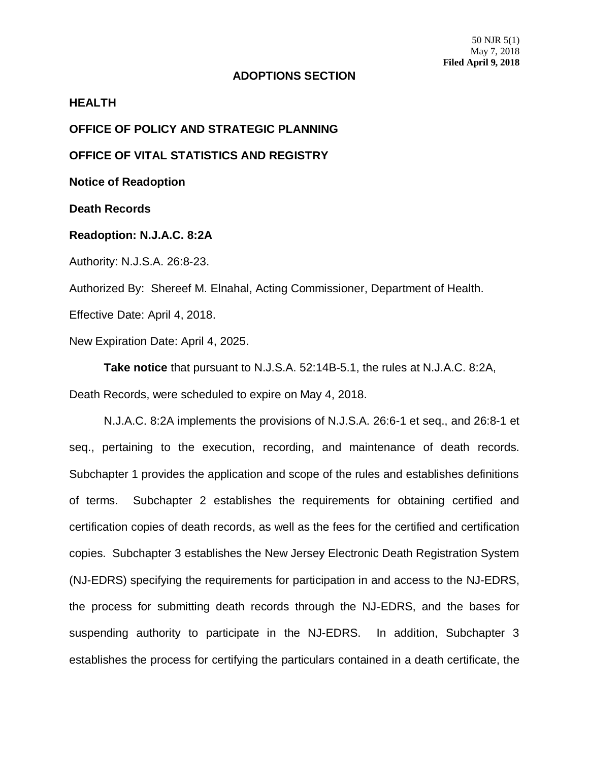## **ADOPTIONS SECTION**

## **HEALTH**

**OFFICE OF POLICY AND STRATEGIC PLANNING**

**OFFICE OF VITAL STATISTICS AND REGISTRY**

**Notice of Readoption**

**Death Records**

## **Readoption: N.J.A.C. 8:2A**

Authority: N.J.S.A. 26:8-23.

Authorized By: Shereef M. Elnahal, Acting Commissioner, Department of Health.

Effective Date: April 4, 2018.

New Expiration Date: April 4, 2025.

**Take notice** that pursuant to N.J.S.A. 52:14B-5.1, the rules at N.J.A.C. 8:2A, Death Records, were scheduled to expire on May 4, 2018.

N.J.A.C. 8:2A implements the provisions of N.J.S.A. 26:6-1 et seq., and 26:8-1 et seq., pertaining to the execution, recording, and maintenance of death records. Subchapter 1 provides the application and scope of the rules and establishes definitions of terms. Subchapter 2 establishes the requirements for obtaining certified and certification copies of death records, as well as the fees for the certified and certification copies. Subchapter 3 establishes the New Jersey Electronic Death Registration System (NJ-EDRS) specifying the requirements for participation in and access to the NJ-EDRS, the process for submitting death records through the NJ-EDRS, and the bases for suspending authority to participate in the NJ-EDRS. In addition, Subchapter 3 establishes the process for certifying the particulars contained in a death certificate, the